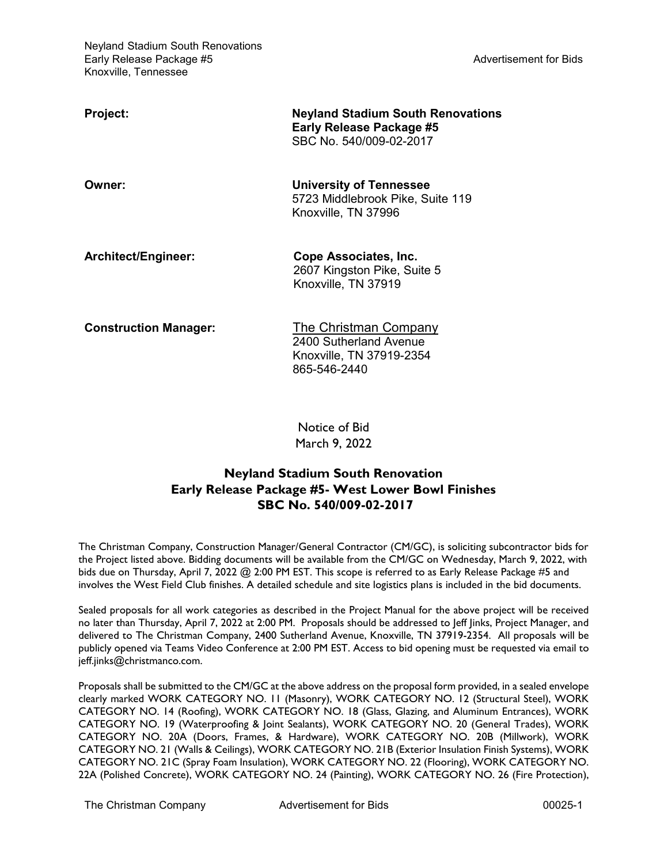| <b>Project:</b>              | <b>Neyland Stadium South Renovations</b><br>Early Release Package #5<br>SBC No. 540/009-02-2017 |
|------------------------------|-------------------------------------------------------------------------------------------------|
| Owner:                       | <b>University of Tennessee</b><br>5723 Middlebrook Pike, Suite 119<br>Knoxville, TN 37996       |
| Architect/Engineer:          | Cope Associates, Inc.<br>2607 Kingston Pike, Suite 5<br>Knoxville, TN 37919                     |
| <b>Construction Manager:</b> | The Christman Company<br>2400 Sutherland Avenue<br>Knoxville, TN 37919-2354<br>865-546-2440     |

Notice of Bid March 9, 2022

## **Neyland Stadium South Renovation Early Release Package #5- West Lower Bowl Finishes SBC No. 540/009-02-2017**

The Christman Company, Construction Manager/General Contractor (CM/GC), is soliciting subcontractor bids for the Project listed above. Bidding documents will be available from the CM/GC on Wednesday, March 9, 2022, with bids due on Thursday, April 7, 2022 @ 2:00 PM EST. This scope is referred to as Early Release Package #5 and involves the West Field Club finishes. A detailed schedule and site logistics plans is included in the bid documents.

Sealed proposals for all work categories as described in the Project Manual for the above project will be received no later than Thursday, April 7, 2022 at 2:00 PM. Proposals should be addressed to Jeff Jinks, Project Manager, and delivered to The Christman Company, 2400 Sutherland Avenue, Knoxville, TN 37919-2354. All proposals will be publicly opened via Teams Video Conference at 2:00 PM EST. Access to bid opening must be requested via email to jeff.jinks@christmanco.com.

Proposals shall be submitted to the CM/GC at the above address on the proposal form provided, in a sealed envelope clearly marked WORK CATEGORY NO. 11 (Masonry), WORK CATEGORY NO. 12 (Structural Steel), WORK CATEGORY NO. 14 (Roofing), WORK CATEGORY NO. 18 (Glass, Glazing, and Aluminum Entrances), WORK CATEGORY NO. 19 (Waterproofing & Joint Sealants), WORK CATEGORY NO. 20 (General Trades), WORK CATEGORY NO. 20A (Doors, Frames, & Hardware), WORK CATEGORY NO. 20B (Millwork), WORK CATEGORY NO. 21 (Walls & Ceilings), WORK CATEGORY NO. 21B (Exterior Insulation Finish Systems), WORK CATEGORY NO. 21C (Spray Foam Insulation), WORK CATEGORY NO. 22 (Flooring), WORK CATEGORY NO. 22A (Polished Concrete), WORK CATEGORY NO. 24 (Painting), WORK CATEGORY NO. 26 (Fire Protection),

The Christman Company Advertisement for Bids 00025-1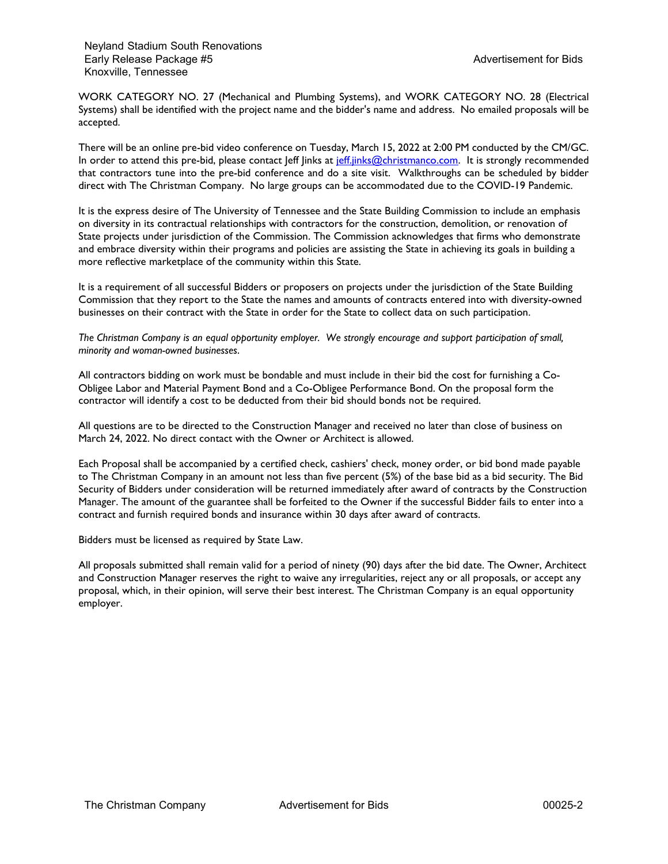WORK CATEGORY NO. 27 (Mechanical and Plumbing Systems), and WORK CATEGORY NO. 28 (Electrical Systems) shall be identified with the project name and the bidder's name and address. No emailed proposals will be accepted.

There will be an online pre-bid video conference on Tuesday, March 15, 2022 at 2:00 PM conducted by the CM/GC. In order to attend this pre-bid, please contact Jeff Jinks at jeff.jinks@christmanco.com. It is strongly recommended that contractors tune into the pre-bid conference and do a site visit. Walkthroughs can be scheduled by bidder direct with The Christman Company. No large groups can be accommodated due to the COVID-19 Pandemic.

It is the express desire of The University of Tennessee and the State Building Commission to include an emphasis on diversity in its contractual relationships with contractors for the construction, demolition, or renovation of State projects under jurisdiction of the Commission. The Commission acknowledges that firms who demonstrate and embrace diversity within their programs and policies are assisting the State in achieving its goals in building a more reflective marketplace of the community within this State.

It is a requirement of all successful Bidders or proposers on projects under the jurisdiction of the State Building Commission that they report to the State the names and amounts of contracts entered into with diversity-owned businesses on their contract with the State in order for the State to collect data on such participation.

*The Christman Company is an equal opportunity employer. We strongly encourage and support participation of small, minority and woman-owned businesses*.

All contractors bidding on work must be bondable and must include in their bid the cost for furnishing a Co-Obligee Labor and Material Payment Bond and a Co-Obligee Performance Bond. On the proposal form the contractor will identify a cost to be deducted from their bid should bonds not be required.

All questions are to be directed to the Construction Manager and received no later than close of business on March 24, 2022. No direct contact with the Owner or Architect is allowed.

Each Proposal shall be accompanied by a certified check, cashiers' check, money order, or bid bond made payable to The Christman Company in an amount not less than five percent (5%) of the base bid as a bid security. The Bid Security of Bidders under consideration will be returned immediately after award of contracts by the Construction Manager. The amount of the guarantee shall be forfeited to the Owner if the successful Bidder fails to enter into a contract and furnish required bonds and insurance within 30 days after award of contracts.

Bidders must be licensed as required by State Law.

All proposals submitted shall remain valid for a period of ninety (90) days after the bid date. The Owner, Architect and Construction Manager reserves the right to waive any irregularities, reject any or all proposals, or accept any proposal, which, in their opinion, will serve their best interest. The Christman Company is an equal opportunity employer.